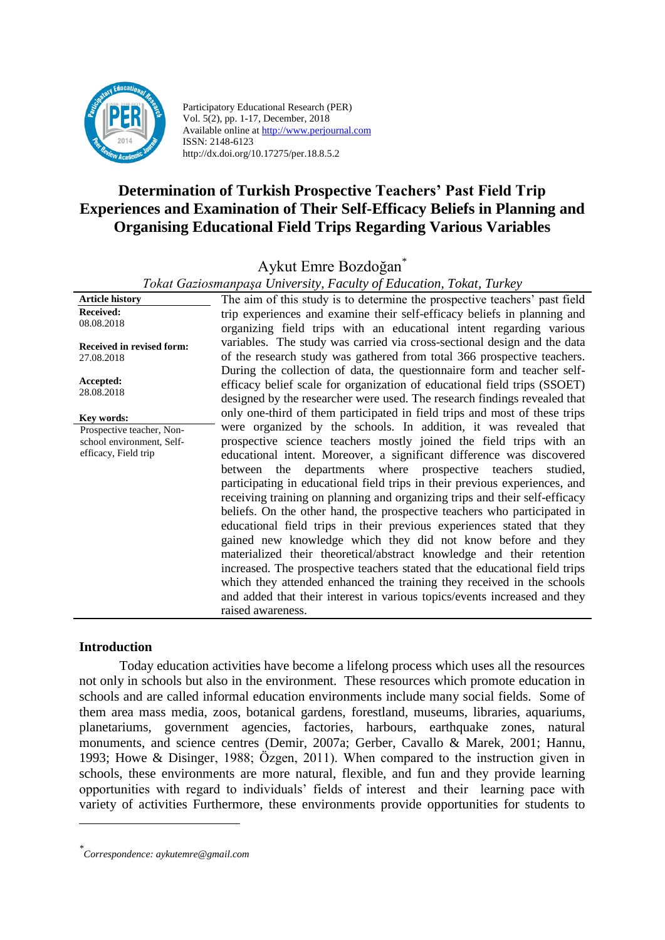

Participatory Educational Research (PER) Vol. 5(2), pp. 1-17, December, 2018 Available online at http://www.perjournal.com ISSN: 2148-6123 http://dx.doi.org/10.17275/per.18.8.5.2

# **Determination of Turkish Prospective Teachers' Past Field Trip Experiences and Examination of Their Self-Efficacy Beliefs in Planning and Organising Educational Field Trips Regarding Various Variables**

Aykut Emre Bozdoğan\*

*Tokat Gaziosmanpaşa University, Faculty of Education, Tokat, Turkey*

| ai Samosmanpaşa Shirersity, 1 acanıy of Eaucanon, 1 onat, 1 arney |                                                                                                                                                                                                                                                                                                                                                                                                                                                                                                                                                                                                                                                                                                                                                                                                                                                              |  |  |  |  |  |  |  |
|-------------------------------------------------------------------|--------------------------------------------------------------------------------------------------------------------------------------------------------------------------------------------------------------------------------------------------------------------------------------------------------------------------------------------------------------------------------------------------------------------------------------------------------------------------------------------------------------------------------------------------------------------------------------------------------------------------------------------------------------------------------------------------------------------------------------------------------------------------------------------------------------------------------------------------------------|--|--|--|--|--|--|--|
| <b>Article history</b>                                            | The aim of this study is to determine the prospective teachers' past field                                                                                                                                                                                                                                                                                                                                                                                                                                                                                                                                                                                                                                                                                                                                                                                   |  |  |  |  |  |  |  |
| <b>Received:</b><br>08.08.2018                                    | trip experiences and examine their self-efficacy beliefs in planning and<br>organizing field trips with an educational intent regarding various                                                                                                                                                                                                                                                                                                                                                                                                                                                                                                                                                                                                                                                                                                              |  |  |  |  |  |  |  |
| Received in revised form:<br>27.08.2018                           | variables. The study was carried via cross-sectional design and the data<br>of the research study was gathered from total 366 prospective teachers.                                                                                                                                                                                                                                                                                                                                                                                                                                                                                                                                                                                                                                                                                                          |  |  |  |  |  |  |  |
| Accepted:<br>28.08.2018                                           | During the collection of data, the questionnaire form and teacher self-<br>efficacy belief scale for organization of educational field trips (SSOET)<br>designed by the researcher were used. The research findings revealed that                                                                                                                                                                                                                                                                                                                                                                                                                                                                                                                                                                                                                            |  |  |  |  |  |  |  |
| Key words:                                                        | only one-third of them participated in field trips and most of these trips                                                                                                                                                                                                                                                                                                                                                                                                                                                                                                                                                                                                                                                                                                                                                                                   |  |  |  |  |  |  |  |
| Prospective teacher, Non-                                         | were organized by the schools. In addition, it was revealed that                                                                                                                                                                                                                                                                                                                                                                                                                                                                                                                                                                                                                                                                                                                                                                                             |  |  |  |  |  |  |  |
| school environment, Self-                                         | prospective science teachers mostly joined the field trips with an                                                                                                                                                                                                                                                                                                                                                                                                                                                                                                                                                                                                                                                                                                                                                                                           |  |  |  |  |  |  |  |
| efficacy, Field trip                                              | educational intent. Moreover, a significant difference was discovered<br>between the departments where prospective teachers studied,<br>participating in educational field trips in their previous experiences, and<br>receiving training on planning and organizing trips and their self-efficacy<br>beliefs. On the other hand, the prospective teachers who participated in<br>educational field trips in their previous experiences stated that they<br>gained new knowledge which they did not know before and they<br>materialized their theoretical/abstract knowledge and their retention<br>increased. The prospective teachers stated that the educational field trips<br>which they attended enhanced the training they received in the schools<br>and added that their interest in various topics/events increased and they<br>raised awareness. |  |  |  |  |  |  |  |

#### **Introduction**

<u>.</u>

Today education activities have become a lifelong process which uses all the resources not only in schools but also in the environment. These resources which promote education in schools and are called informal education environments include many social fields. Some of them area mass media, zoos, botanical gardens, forestland, museums, libraries, aquariums, planetariums, government agencies, factories, harbours, earthquake zones, natural monuments, and science centres (Demir, 2007a; Gerber, Cavallo & Marek, 2001; Hannu, 1993; Howe & Disinger, 1988; Özgen, 2011). When compared to the instruction given in schools, these environments are more natural, flexible, and fun and they provide learning opportunities with regard to individuals' fields of interest and their learning pace with variety of activities Furthermore, these environments provide opportunities for students to

*<sup>\*</sup> Correspondence: aykutemre@gmail.com*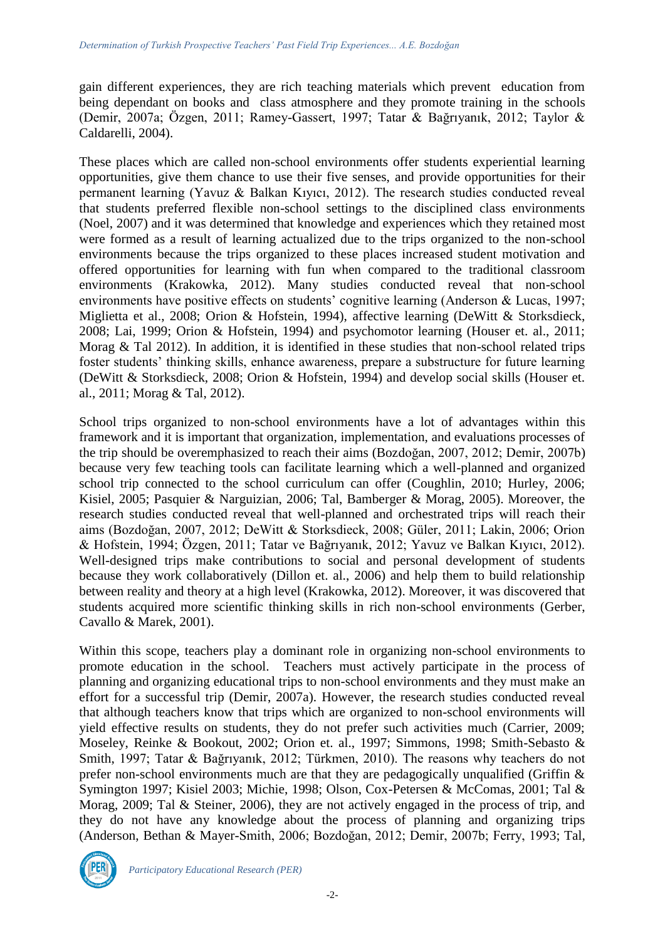gain different experiences, they are rich teaching materials which prevent education from being dependant on books and class atmosphere and they promote training in the schools (Demir, 2007a; Özgen, 2011; Ramey-Gassert, 1997; Tatar & Bağrıyanık, 2012; Taylor & Caldarelli, 2004).

These places which are called non-school environments offer students experiential learning opportunities, give them chance to use their five senses, and provide opportunities for their permanent learning (Yavuz & Balkan Kıyıcı, 2012). The research studies conducted reveal that students preferred flexible non-school settings to the disciplined class environments (Noel, 2007) and it was determined that knowledge and experiences which they retained most were formed as a result of learning actualized due to the trips organized to the non-school environments because the trips organized to these places increased student motivation and offered opportunities for learning with fun when compared to the traditional classroom environments (Krakowka, 2012). Many studies conducted reveal that non-school environments have positive effects on students' cognitive learning (Anderson & Lucas, 1997; Miglietta et al., 2008; Orion & Hofstein, 1994), affective learning (DeWitt & Storksdieck, 2008; Lai, 1999; Orion & Hofstein, 1994) and psychomotor learning (Houser et. al., 2011; Morag & Tal 2012). In addition, it is identified in these studies that non-school related trips foster students' thinking skills, enhance awareness, prepare a substructure for future learning (DeWitt & Storksdieck, 2008; Orion & Hofstein, 1994) and develop social skills (Houser et. al., 2011; Morag & Tal, 2012).

School trips organized to non-school environments have a lot of advantages within this framework and it is important that organization, implementation, and evaluations processes of the trip should be overemphasized to reach their aims (Bozdoğan, 2007, 2012; Demir, 2007b) because very few teaching tools can facilitate learning which a well-planned and organized school trip connected to the school curriculum can offer (Coughlin, 2010; Hurley, 2006; Kisiel, 2005; Pasquier & Narguizian, 2006; Tal, Bamberger & Morag, 2005). Moreover, the research studies conducted reveal that well-planned and orchestrated trips will reach their aims (Bozdoğan, 2007, 2012; DeWitt & Storksdieck, 2008; Güler, 2011; Lakin, 2006; Orion & Hofstein, 1994; Özgen, 2011; Tatar ve Bağrıyanık, 2012; Yavuz ve Balkan Kıyıcı, 2012). Well-designed trips make contributions to social and personal development of students because they work collaboratively (Dillon et. al., 2006) and help them to build relationship between reality and theory at a high level (Krakowka, 2012). Moreover, it was discovered that students acquired more scientific thinking skills in rich non-school environments (Gerber, Cavallo & Marek, 2001).

Within this scope, teachers play a dominant role in organizing non-school environments to promote education in the school. Teachers must actively participate in the process of planning and organizing educational trips to non-school environments and they must make an effort for a successful trip (Demir, 2007a). However, the research studies conducted reveal that although teachers know that trips which are organized to non-school environments will yield effective results on students, they do not prefer such activities much (Carrier, 2009; Moseley, Reinke & Bookout, 2002; Orion et. al., 1997; Simmons, 1998; Smith-Sebasto & Smith, 1997; Tatar & Bağrıyanık, 2012; Türkmen, 2010). The reasons why teachers do not prefer non-school environments much are that they are pedagogically unqualified (Griffin & Symington 1997; Kisiel 2003; Michie, 1998; Olson, Cox-Petersen & McComas, 2001; Tal & Morag, 2009; Tal & Steiner, 2006), they are not actively engaged in the process of trip, and they do not have any knowledge about the process of planning and organizing trips (Anderson, Bethan & Mayer-Smith, 2006; Bozdoğan, 2012; Demir, 2007b; Ferry, 1993; Tal,

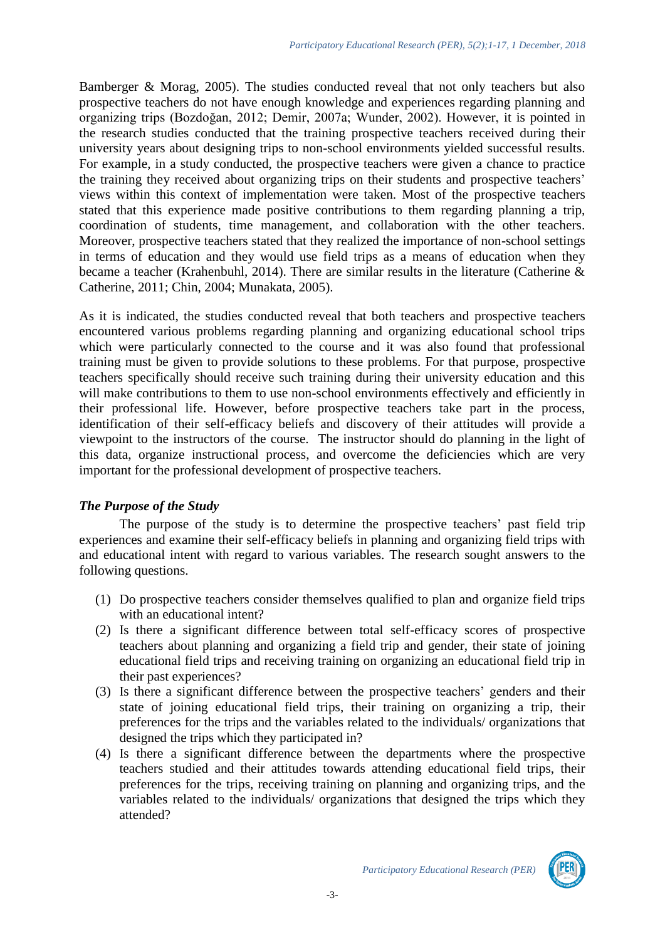Bamberger & Morag, 2005). The studies conducted reveal that not only teachers but also prospective teachers do not have enough knowledge and experiences regarding planning and organizing trips (Bozdoğan, 2012; Demir, 2007a; Wunder, 2002). However, it is pointed in the research studies conducted that the training prospective teachers received during their university years about designing trips to non-school environments yielded successful results. For example, in a study conducted, the prospective teachers were given a chance to practice the training they received about organizing trips on their students and prospective teachers' views within this context of implementation were taken. Most of the prospective teachers stated that this experience made positive contributions to them regarding planning a trip, coordination of students, time management, and collaboration with the other teachers. Moreover, prospective teachers stated that they realized the importance of non-school settings in terms of education and they would use field trips as a means of education when they became a teacher (Krahenbuhl, 2014). There are similar results in the literature (Catherine & Catherine, 2011; Chin, 2004; Munakata, 2005).

As it is indicated, the studies conducted reveal that both teachers and prospective teachers encountered various problems regarding planning and organizing educational school trips which were particularly connected to the course and it was also found that professional training must be given to provide solutions to these problems. For that purpose, prospective teachers specifically should receive such training during their university education and this will make contributions to them to use non-school environments effectively and efficiently in their professional life. However, before prospective teachers take part in the process, identification of their self-efficacy beliefs and discovery of their attitudes will provide a viewpoint to the instructors of the course. The instructor should do planning in the light of this data, organize instructional process, and overcome the deficiencies which are very important for the professional development of prospective teachers.

## *The Purpose of the Study*

The purpose of the study is to determine the prospective teachers' past field trip experiences and examine their self-efficacy beliefs in planning and organizing field trips with and educational intent with regard to various variables. The research sought answers to the following questions.

- (1) Do prospective teachers consider themselves qualified to plan and organize field trips with an educational intent?
- (2) Is there a significant difference between total self-efficacy scores of prospective teachers about planning and organizing a field trip and gender, their state of joining educational field trips and receiving training on organizing an educational field trip in their past experiences?
- (3) Is there a significant difference between the prospective teachers' genders and their state of joining educational field trips, their training on organizing a trip, their preferences for the trips and the variables related to the individuals/ organizations that designed the trips which they participated in?
- (4) Is there a significant difference between the departments where the prospective teachers studied and their attitudes towards attending educational field trips, their preferences for the trips, receiving training on planning and organizing trips, and the variables related to the individuals/ organizations that designed the trips which they attended?

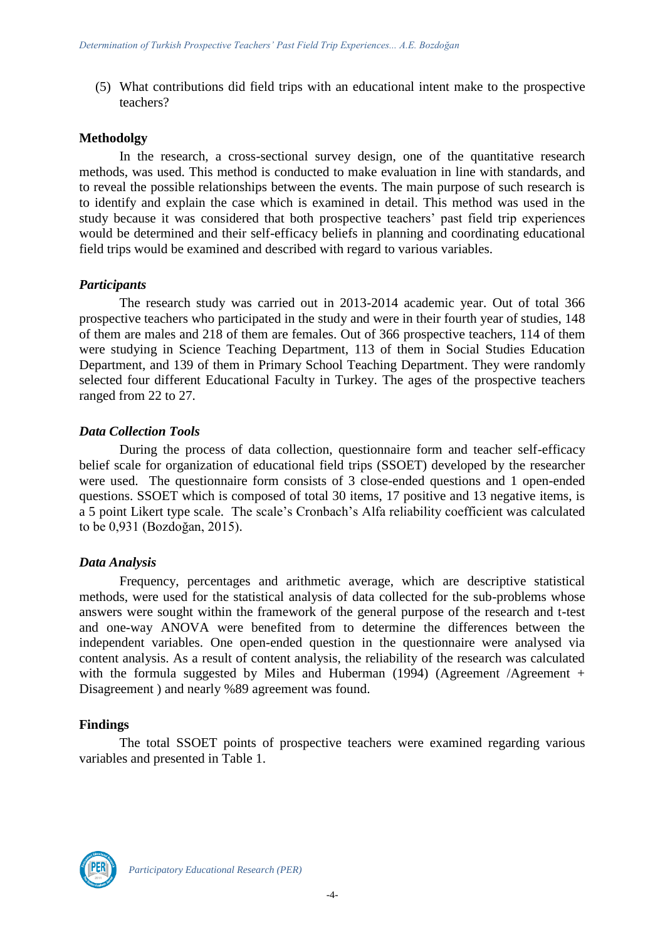(5) What contributions did field trips with an educational intent make to the prospective teachers?

#### **Methodolgy**

In the research, a cross-sectional survey design, one of the quantitative research methods, was used. This method is conducted to make evaluation in line with standards, and to reveal the possible relationships between the events. The main purpose of such research is to identify and explain the case which is examined in detail. This method was used in the study because it was considered that both prospective teachers' past field trip experiences would be determined and their self-efficacy beliefs in planning and coordinating educational field trips would be examined and described with regard to various variables.

#### *Participants*

The research study was carried out in 2013-2014 academic year. Out of total 366 prospective teachers who participated in the study and were in their fourth year of studies, 148 of them are males and 218 of them are females. Out of 366 prospective teachers, 114 of them were studying in Science Teaching Department, 113 of them in Social Studies Education Department, and 139 of them in Primary School Teaching Department. They were randomly selected four different Educational Faculty in Turkey. The ages of the prospective teachers ranged from 22 to 27.

#### *Data Collection Tools*

During the process of data collection, questionnaire form and teacher self-efficacy belief scale for organization of educational field trips (SSOET) developed by the researcher were used. The questionnaire form consists of 3 close-ended questions and 1 open-ended questions. SSOET which is composed of total 30 items, 17 positive and 13 negative items, is a 5 point Likert type scale. The scale's Cronbach's Alfa reliability coefficient was calculated to be 0,931 (Bozdoğan, 2015).

#### *Data Analysis*

Frequency, percentages and arithmetic average, which are descriptive statistical methods, were used for the statistical analysis of data collected for the sub-problems whose answers were sought within the framework of the general purpose of the research and t-test and one-way ANOVA were benefited from to determine the differences between the independent variables. One open-ended question in the questionnaire were analysed via content analysis. As a result of content analysis, the reliability of the research was calculated with the formula suggested by Miles and Huberman (1994) (Agreement /Agreement + Disagreement ) and nearly %89 agreement was found.

#### **Findings**

The total SSOET points of prospective teachers were examined regarding various variables and presented in Table 1.

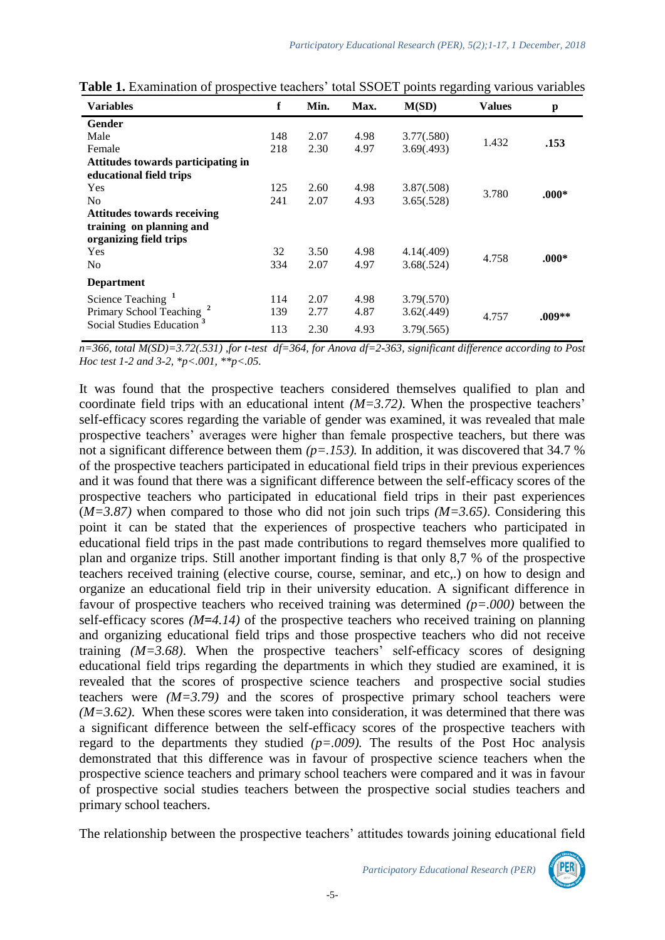| <b>Variables</b>                      | f   | Min. | Max. | M(SD)      | <b>Values</b> | p       |
|---------------------------------------|-----|------|------|------------|---------------|---------|
| Gender                                |     |      |      |            |               |         |
| Male                                  | 148 | 2.07 | 4.98 | 3.77(.580) | 1.432         | .153    |
| Female                                | 218 | 2.30 | 4.97 | 3.69(.493) |               |         |
| Attitudes towards participating in    |     |      |      |            |               |         |
| educational field trips               |     |      |      |            |               |         |
| Yes                                   | 125 | 2.60 | 4.98 | 3.87(.508) | 3.780         | $.000*$ |
| N <sub>0</sub>                        | 241 | 2.07 | 4.93 | 3.65(.528) |               |         |
| <b>Attitudes towards receiving</b>    |     |      |      |            |               |         |
| training on planning and              |     |      |      |            |               |         |
| organizing field trips                |     |      |      |            |               |         |
| Yes                                   | 32  | 3.50 | 4.98 | 4.14(.409) | 4.758         | $.000*$ |
| N <sub>0</sub>                        | 334 | 2.07 | 4.97 | 3.68(.524) |               |         |
| <b>Department</b>                     |     |      |      |            |               |         |
| Science Teaching <sup>1</sup>         | 114 | 2.07 | 4.98 | 3.79(.570) |               |         |
| Primary School Teaching <sup>2</sup>  | 139 | 2.77 | 4.87 | 3.62(.449) | 4.757         | .009**  |
| Social Studies Education <sup>3</sup> | 113 | 2.30 | 4.93 | 3.79(.565) |               |         |
|                                       |     |      |      |            |               |         |

Table 1. Examination of prospective teachers' total SSOET points regarding various variables

*n=366, total M(SD)=3.72(.531) ,for t-test df=364, for Anova df=2-363, significant difference according to Post Hoc test 1-2 and 3-2, \*p<.001, \*\*p<.05.*

It was found that the prospective teachers considered themselves qualified to plan and coordinate field trips with an educational intent *(M=3.72)*. When the prospective teachers' self-efficacy scores regarding the variable of gender was examined, it was revealed that male prospective teachers' averages were higher than female prospective teachers, but there was not a significant difference between them *(p=.153)*. In addition, it was discovered that 34.7 % of the prospective teachers participated in educational field trips in their previous experiences and it was found that there was a significant difference between the self-efficacy scores of the prospective teachers who participated in educational field trips in their past experiences (*M=3.87)* when compared to those who did not join such trips *(M=3.65)*. Considering this point it can be stated that the experiences of prospective teachers who participated in educational field trips in the past made contributions to regard themselves more qualified to plan and organize trips. Still another important finding is that only 8,7 % of the prospective teachers received training (elective course, course, seminar, and etc,.) on how to design and organize an educational field trip in their university education. A significant difference in favour of prospective teachers who received training was determined *(p=.000)* between the self-efficacy scores *(M=4.14)* of the prospective teachers who received training on planning and organizing educational field trips and those prospective teachers who did not receive training *(M=3.68)*. When the prospective teachers' self-efficacy scores of designing educational field trips regarding the departments in which they studied are examined, it is revealed that the scores of prospective science teachers and prospective social studies teachers were  $(M=3.79)$  and the scores of prospective primary school teachers were *(M=3.62)*. When these scores were taken into consideration, it was determined that there was a significant difference between the self-efficacy scores of the prospective teachers with regard to the departments they studied  $(p=.009)$ . The results of the Post Hoc analysis demonstrated that this difference was in favour of prospective science teachers when the prospective science teachers and primary school teachers were compared and it was in favour of prospective social studies teachers between the prospective social studies teachers and primary school teachers.

The relationship between the prospective teachers' attitudes towards joining educational field

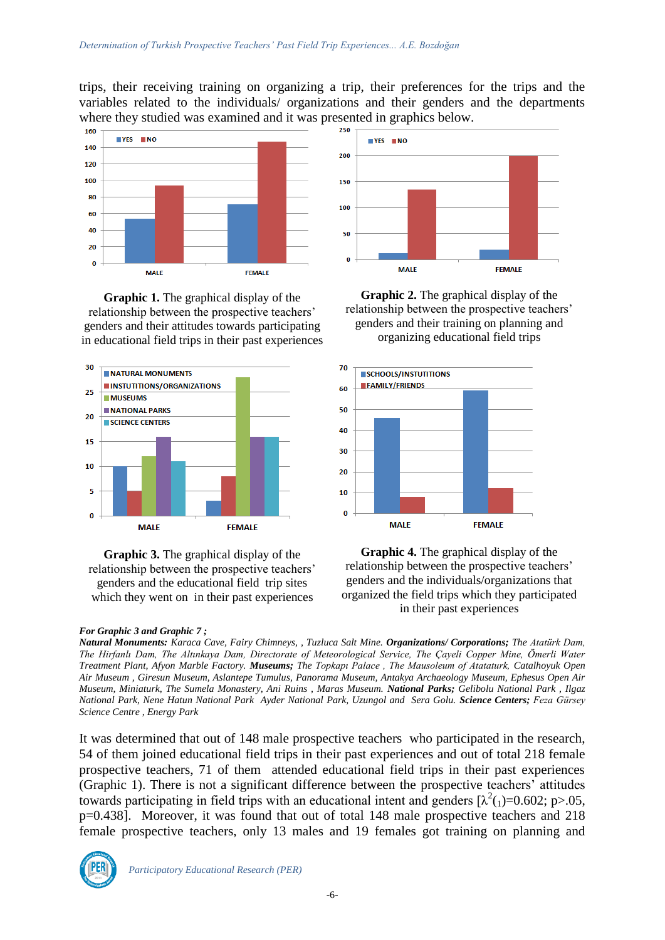trips, their receiving training on organizing a trip, their preferences for the trips and the variables related to the individuals/ organizations and their genders and the departments where they studied was examined and it was presented in graphics below.



**Graphic 1.** The graphical display of the relationship between the prospective teachers' genders and their attitudes towards participating in educational field trips in their past experiences



**Graphic 3.** The graphical display of the relationship between the prospective teachers' genders and the educational field trip sites which they went on in their past experiences

#### *For Graphic 3 and Graphic 7 ;*



**Graphic 2.** The graphical display of the relationship between the prospective teachers' genders and their training on planning and organizing educational field trips



**Graphic 4.** The graphical display of the relationship between the prospective teachers' genders and the individuals/organizations that organized the field trips which they participated in their past experiences

*Natural Monuments: Karaca Cave, Fairy Chimneys, , Tuzluca Salt Mine. Organizations/ Corporations; The Atatürk Dam, The Hirfanlı Dam, The Altınkaya Dam, Directorate of Meteorological Service, The Çayeli Copper Mine, Ömerli Water Treatment Plant, Afyon Marble Factory. Museums; The Topkapı Palace , The Mausoleum of Atataturk, Catalhoyuk Open Air Museum , Giresun Museum, Aslantepe Tumulus, Panorama Museum, Antakya Archaeology Museum, Ephesus Open Air Museum, Miniaturk, The Sumela Monastery, Ani Ruins , Maras Museum. National Parks; Gelibolu National Park , Ilgaz National Park, Nene Hatun National Park Ayder National Park, Uzungol and Sera Golu. Science Centers; Feza Gürsey Science Centre , Energy Park* 

It was determined that out of 148 male prospective teachers who participated in the research, 54 of them joined educational field trips in their past experiences and out of total 218 female prospective teachers, 71 of them attended educational field trips in their past experiences (Graphic 1). There is not a significant difference between the prospective teachers' attitudes towards participating in field trips with an educational intent and genders  $[\lambda^2(1)=0.602; p>0.05]$ , p=0.438]. Moreover, it was found that out of total 148 male prospective teachers and 218 female prospective teachers, only 13 males and 19 females got training on planning and

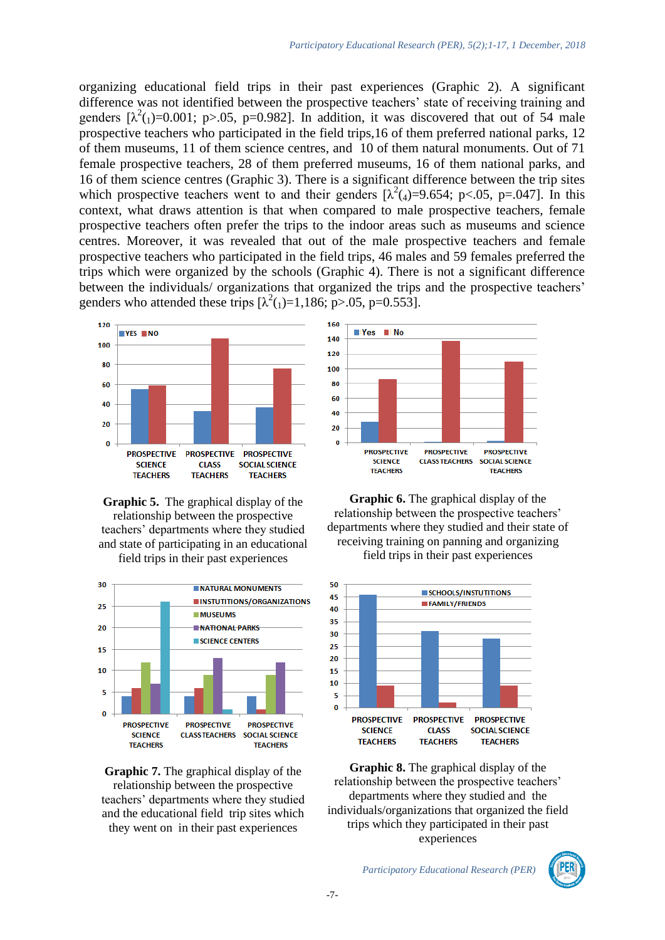organizing educational field trips in their past experiences (Graphic 2). A significant difference was not identified between the prospective teachers' state of receiving training and genders  $[\lambda^2(1)=0.001; p>0.05, p=0.982]$ . In addition, it was discovered that out of 54 male prospective teachers who participated in the field trips,16 of them preferred national parks, 12 of them museums, 11 of them science centres, and 10 of them natural monuments. Out of 71 female prospective teachers, 28 of them preferred museums, 16 of them national parks, and 16 of them science centres (Graphic 3). There is a significant difference between the trip sites which prospective teachers went to and their genders  $[\lambda^2(4)=9.654; p<.05, p=.047]$ . In this context, what draws attention is that when compared to male prospective teachers, female prospective teachers often prefer the trips to the indoor areas such as museums and science centres. Moreover, it was revealed that out of the male prospective teachers and female prospective teachers who participated in the field trips, 46 males and 59 females preferred the trips which were organized by the schools (Graphic 4). There is not a significant difference between the individuals/ organizations that organized the trips and the prospective teachers' genders who attended these trips  $[\lambda^2(1)=1,186; p>0.05, p=0.553]$ .







**Graphic 7.** The graphical display of the relationship between the prospective teachers' departments where they studied and the educational field trip sites which they went on in their past experiences



**Graphic 6.** The graphical display of the relationship between the prospective teachers' departments where they studied and their state of receiving training on panning and organizing field trips in their past experiences



**Graphic 8.** The graphical display of the relationship between the prospective teachers' departments where they studied and the individuals/organizations that organized the field trips which they participated in their past experiences

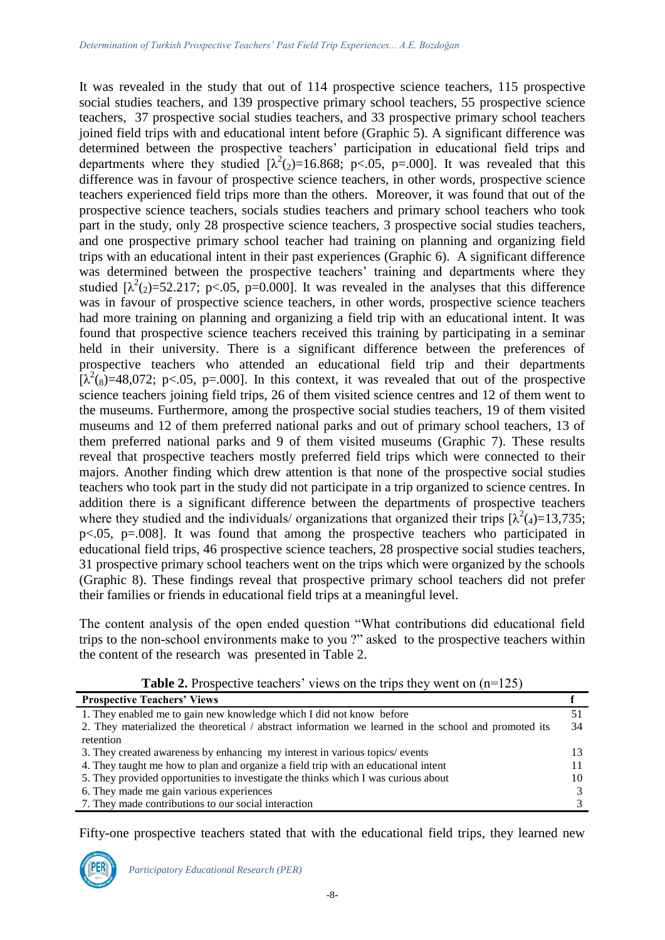It was revealed in the study that out of 114 prospective science teachers, 115 prospective social studies teachers, and 139 prospective primary school teachers, 55 prospective science teachers, 37 prospective social studies teachers, and 33 prospective primary school teachers joined field trips with and educational intent before (Graphic 5). A significant difference was determined between the prospective teachers' participation in educational field trips and departments where they studied  $[\lambda^2(2)=16.868; \, p<0.05, \, p=.000]$ . It was revealed that this difference was in favour of prospective science teachers, in other words, prospective science teachers experienced field trips more than the others. Moreover, it was found that out of the prospective science teachers, socials studies teachers and primary school teachers who took part in the study, only 28 prospective science teachers, 3 prospective social studies teachers, and one prospective primary school teacher had training on planning and organizing field trips with an educational intent in their past experiences (Graphic 6). A significant difference was determined between the prospective teachers' training and departments where they studied  $[\lambda^2_{(2)}=52.217; p<.05, p=0.000]$ . It was revealed in the analyses that this difference was in favour of prospective science teachers, in other words, prospective science teachers had more training on planning and organizing a field trip with an educational intent. It was found that prospective science teachers received this training by participating in a seminar held in their university. There is a significant difference between the preferences of prospective teachers who attended an educational field trip and their departments  $[\lambda^2(s)=48,072; p<.05, p=.000]$ . In this context, it was revealed that out of the prospective science teachers joining field trips, 26 of them visited science centres and 12 of them went to the museums. Furthermore, among the prospective social studies teachers, 19 of them visited museums and 12 of them preferred national parks and out of primary school teachers, 13 of them preferred national parks and 9 of them visited museums (Graphic 7). These results reveal that prospective teachers mostly preferred field trips which were connected to their majors. Another finding which drew attention is that none of the prospective social studies teachers who took part in the study did not participate in a trip organized to science centres. In addition there is a significant difference between the departments of prospective teachers where they studied and the individuals/ organizations that organized their trips  $[\lambda^2(4)=13,735;$ p<.05, p=.008]. It was found that among the prospective teachers who participated in educational field trips, 46 prospective science teachers, 28 prospective social studies teachers, 31 prospective primary school teachers went on the trips which were organized by the schools (Graphic 8). These findings reveal that prospective primary school teachers did not prefer their families or friends in educational field trips at a meaningful level.

The content analysis of the open ended question "What contributions did educational field trips to the non-school environments make to you ?" asked to the prospective teachers within the content of the research was presented in Table 2.

| <b>Prospective Teachers' Views</b>                                                                    |  |  |
|-------------------------------------------------------------------------------------------------------|--|--|
| 1. They enabled me to gain new knowledge which I did not know before                                  |  |  |
| 2. They materialized the theoretical / abstract information we learned in the school and promoted its |  |  |
| retention                                                                                             |  |  |
| 3. They created awareness by enhancing my interest in various topics/events                           |  |  |
| 4. They taught me how to plan and organize a field trip with an educational intent                    |  |  |
| 5. They provided opportunities to investigate the thinks which I was curious about                    |  |  |
| 6. They made me gain various experiences                                                              |  |  |
| 7. They made contributions to our social interaction                                                  |  |  |

**Table 2.** Prospective teachers' views on the trips they went on  $(n=125)$ 

Fifty-one prospective teachers stated that with the educational field trips, they learned new

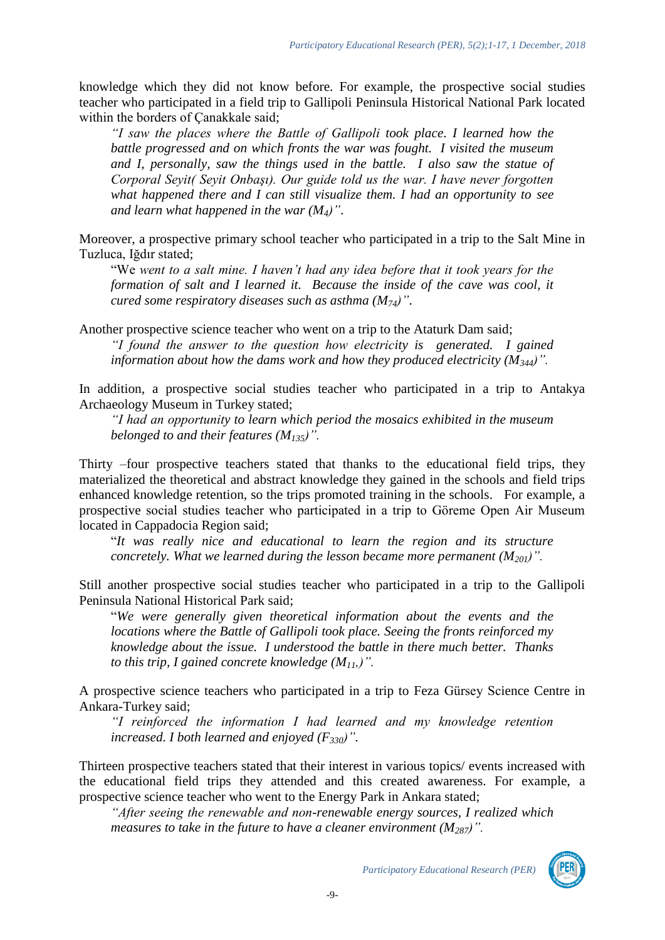knowledge which they did not know before. For example, the prospective social studies teacher who participated in a field trip to Gallipoli Peninsula Historical National Park located within the borders of Çanakkale said;

*"I saw the places where the Battle of Gallipoli took place*. *I learned how the battle progressed and on which fronts the war was fought. I visited the museum and I, personally, saw the things used in the battle. I also saw the statue of Corporal Seyit( Seyit Onbaşı). Our guide told us the war. I have never forgotten what happened there and I can still visualize them. I had an opportunity to see and learn what happened in the war (M4)"*.

Moreover, a prospective primary school teacher who participated in a trip to the Salt Mine in Tuzluca, Iğdır stated;

"We *went to a salt mine. I haven't had any idea before that it took years for the formation of salt and I learned it. Because the inside of the cave was cool, it cured some respiratory diseases such as asthma (M74)"*.

Another prospective science teacher who went on a trip to the Ataturk Dam said; *"I found the answer to the question how electricity is generated. I gained information about how the dams work and how they produced electricity (M344)".* 

In addition, a prospective social studies teacher who participated in a trip to Antakya Archaeology Museum in Turkey stated;

*"I had an opportunity to learn which period the mosaics exhibited in the museum belonged to and their features (M135)".*

Thirty –four prospective teachers stated that thanks to the educational field trips, they materialized the theoretical and abstract knowledge they gained in the schools and field trips enhanced knowledge retention, so the trips promoted training in the schools. For example, a prospective social studies teacher who participated in a trip to Göreme Open Air Museum located in Cappadocia Region said;

"*It was really nice and educational to learn the region and its structure concretely. What we learned during the lesson became more permanent (M201)".* 

Still another prospective social studies teacher who participated in a trip to the Gallipoli Peninsula National Historical Park said;

"*We were generally given theoretical information about the events and the locations where the Battle of Gallipoli took place. Seeing the fronts reinforced my knowledge about the issue. I understood the battle in there much better. Thanks to this trip, I gained concrete knowledge (M11,)".* 

A prospective science teachers who participated in a trip to Feza Gürsey Science Centre in Ankara-Turkey said;

*"I reinforced the information I had learned and my knowledge retention increased. I both learned and enjoyed (F330)".*

Thirteen prospective teachers stated that their interest in various topics/ events increased with the educational field trips they attended and this created awareness. For example, a prospective science teacher who went to the Energy Park in Ankara stated;

*"After seeing the renewable and non-renewable energy sources, I realized which measures to take in the future to have a cleaner environment (M287)".* 

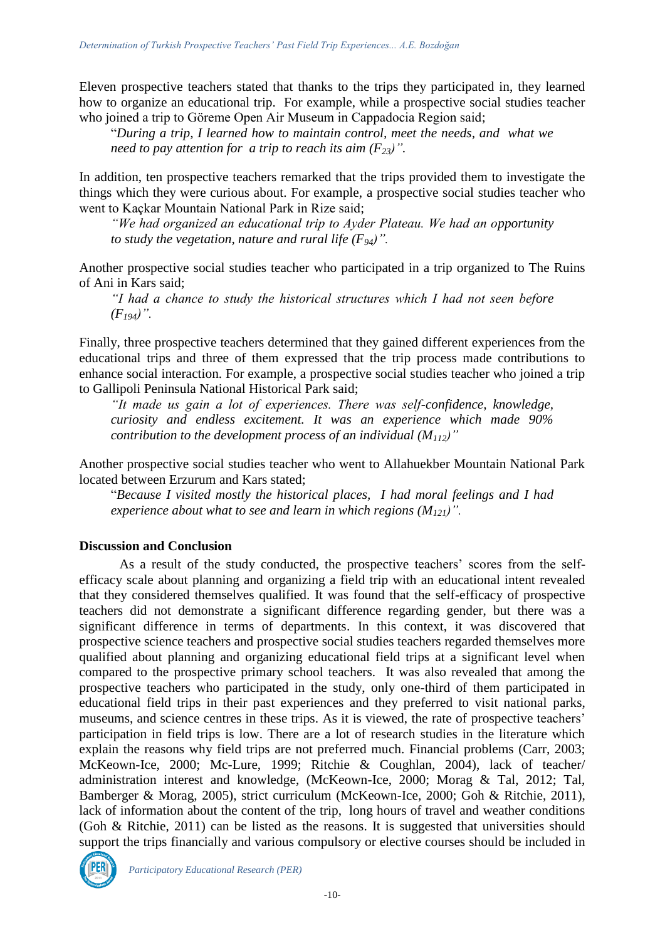Eleven prospective teachers stated that thanks to the trips they participated in, they learned how to organize an educational trip. For example, while a prospective social studies teacher who joined a trip to Göreme Open Air Museum in Cappadocia Region said;

"*During a trip, I learned how to maintain control, meet the needs, and what we need to pay attention for a trip to reach its aim*  $(F_{23})$ *".* 

In addition, ten prospective teachers remarked that the trips provided them to investigate the things which they were curious about. For example, a prospective social studies teacher who went to Kaçkar Mountain National Park in Rize said;

*"We had organized an educational trip to Ayder Plateau. We had an opportunity to study the vegetation, nature and rural life (F94)".* 

Another prospective social studies teacher who participated in a trip organized to The Ruins of Ani in Kars said;

*"I had a chance to study the historical structures which I had not seen before (F194)".*

Finally, three prospective teachers determined that they gained different experiences from the educational trips and three of them expressed that the trip process made contributions to enhance social interaction. For example, a prospective social studies teacher who joined a trip to Gallipoli Peninsula National Historical Park said;

*"It made us gain a lot of experiences. There was self-confidence, knowledge, curiosity and endless excitement. It was an experience which made 90% contribution to the development process of an individual (M112)"* 

Another prospective social studies teacher who went to Allahuekber Mountain National Park located between Erzurum and Kars stated;

"*Because I visited mostly the historical places, I had moral feelings and I had experience about what to see and learn in which regions (M121)".* 

### **Discussion and Conclusion**

As a result of the study conducted, the prospective teachers' scores from the selfefficacy scale about planning and organizing a field trip with an educational intent revealed that they considered themselves qualified. It was found that the self-efficacy of prospective teachers did not demonstrate a significant difference regarding gender, but there was a significant difference in terms of departments. In this context, it was discovered that prospective science teachers and prospective social studies teachers regarded themselves more qualified about planning and organizing educational field trips at a significant level when compared to the prospective primary school teachers. It was also revealed that among the prospective teachers who participated in the study, only one-third of them participated in educational field trips in their past experiences and they preferred to visit national parks, museums, and science centres in these trips. As it is viewed, the rate of prospective teachers' participation in field trips is low. There are a lot of research studies in the literature which explain the reasons why field trips are not preferred much. Financial problems (Carr, 2003; McKeown-Ice, 2000; Mc-Lure, 1999; Ritchie & Coughlan, 2004), lack of teacher/ administration interest and knowledge, (McKeown-Ice, 2000; Morag & Tal, 2012; Tal, Bamberger & Morag, 2005), strict curriculum (McKeown-Ice, 2000; Goh & Ritchie, 2011), lack of information about the content of the trip, long hours of travel and weather conditions (Goh & Ritchie, 2011) can be listed as the reasons. It is suggested that universities should support the trips financially and various compulsory or elective courses should be included in

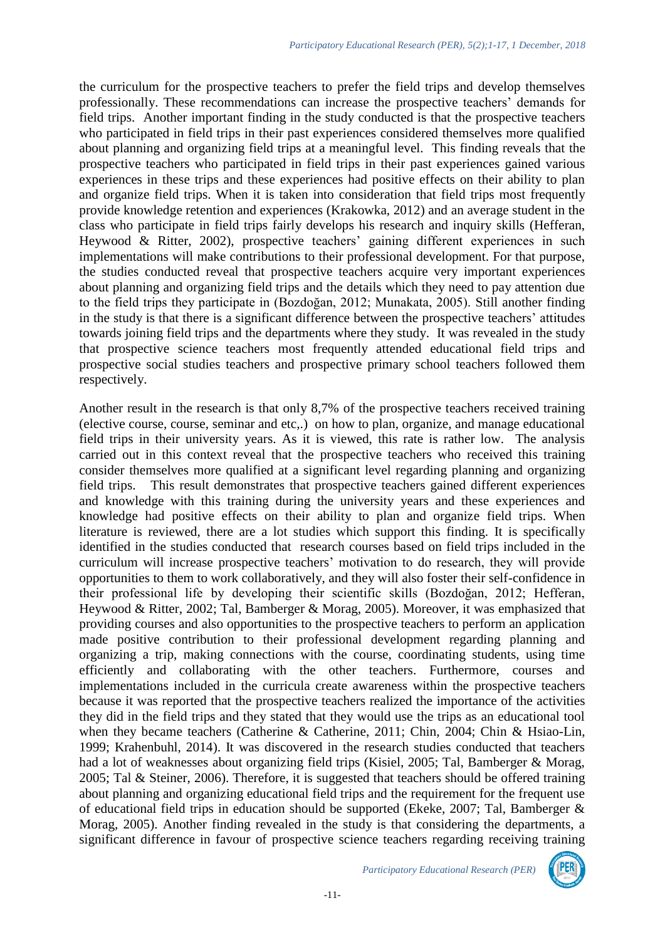the curriculum for the prospective teachers to prefer the field trips and develop themselves professionally. These recommendations can increase the prospective teachers' demands for field trips. Another important finding in the study conducted is that the prospective teachers who participated in field trips in their past experiences considered themselves more qualified about planning and organizing field trips at a meaningful level. This finding reveals that the prospective teachers who participated in field trips in their past experiences gained various experiences in these trips and these experiences had positive effects on their ability to plan and organize field trips. When it is taken into consideration that field trips most frequently provide knowledge retention and experiences (Krakowka, 2012) and an average student in the class who participate in field trips fairly develops his research and inquiry skills (Hefferan, Heywood & Ritter, 2002), prospective teachers' gaining different experiences in such implementations will make contributions to their professional development. For that purpose, the studies conducted reveal that prospective teachers acquire very important experiences about planning and organizing field trips and the details which they need to pay attention due to the field trips they participate in (Bozdoğan, 2012; Munakata, 2005). Still another finding in the study is that there is a significant difference between the prospective teachers' attitudes towards joining field trips and the departments where they study. It was revealed in the study that prospective science teachers most frequently attended educational field trips and prospective social studies teachers and prospective primary school teachers followed them respectively.

Another result in the research is that only 8,7% of the prospective teachers received training (elective course, course, seminar and etc,.) on how to plan, organize, and manage educational field trips in their university years. As it is viewed, this rate is rather low. The analysis carried out in this context reveal that the prospective teachers who received this training consider themselves more qualified at a significant level regarding planning and organizing field trips. This result demonstrates that prospective teachers gained different experiences and knowledge with this training during the university years and these experiences and knowledge had positive effects on their ability to plan and organize field trips. When literature is reviewed, there are a lot studies which support this finding. It is specifically identified in the studies conducted that research courses based on field trips included in the curriculum will increase prospective teachers' motivation to do research, they will provide opportunities to them to work collaboratively, and they will also foster their self-confidence in their professional life by developing their scientific skills (Bozdoğan, 2012; Hefferan, Heywood & Ritter, 2002; Tal, Bamberger & Morag, 2005). Moreover, it was emphasized that providing courses and also opportunities to the prospective teachers to perform an application made positive contribution to their professional development regarding planning and organizing a trip, making connections with the course, coordinating students, using time efficiently and collaborating with the other teachers. Furthermore, courses and implementations included in the curricula create awareness within the prospective teachers because it was reported that the prospective teachers realized the importance of the activities they did in the field trips and they stated that they would use the trips as an educational tool when they became teachers (Catherine & Catherine, 2011; Chin, 2004; Chin & Hsiao-Lin, 1999; Krahenbuhl, 2014). It was discovered in the research studies conducted that teachers had a lot of weaknesses about organizing field trips (Kisiel, 2005; Tal, Bamberger & Morag, 2005; Tal & Steiner, 2006). Therefore, it is suggested that teachers should be offered training about planning and organizing educational field trips and the requirement for the frequent use of educational field trips in education should be supported (Ekeke, 2007; Tal, Bamberger & Morag, 2005). Another finding revealed in the study is that considering the departments, a significant difference in favour of prospective science teachers regarding receiving training

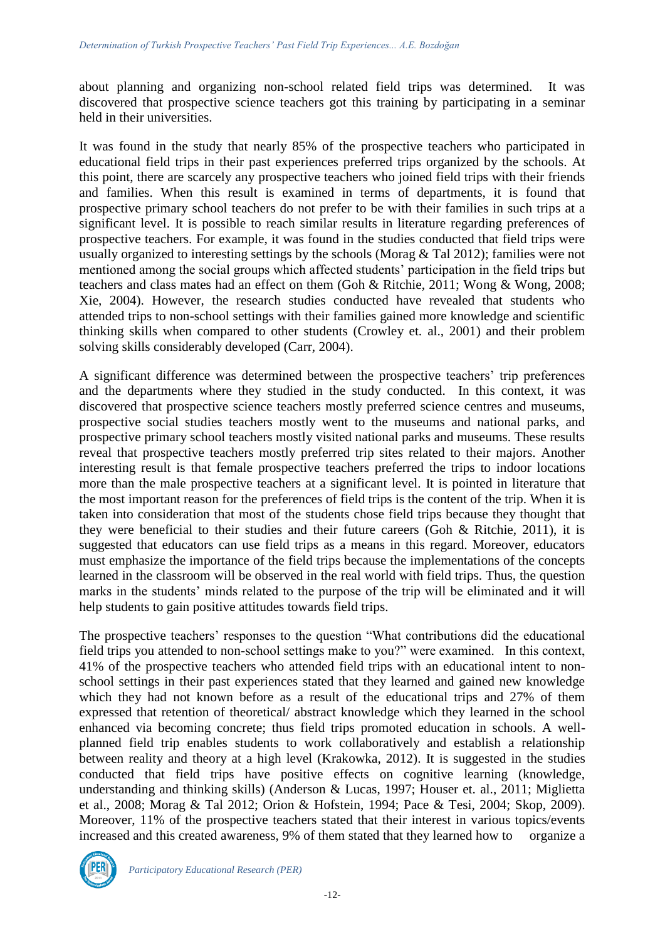about planning and organizing non-school related field trips was determined. It was discovered that prospective science teachers got this training by participating in a seminar held in their universities.

It was found in the study that nearly 85% of the prospective teachers who participated in educational field trips in their past experiences preferred trips organized by the schools. At this point, there are scarcely any prospective teachers who joined field trips with their friends and families. When this result is examined in terms of departments, it is found that prospective primary school teachers do not prefer to be with their families in such trips at a significant level. It is possible to reach similar results in literature regarding preferences of prospective teachers. For example, it was found in the studies conducted that field trips were usually organized to interesting settings by the schools (Morag & Tal 2012); families were not mentioned among the social groups which affected students' participation in the field trips but teachers and class mates had an effect on them (Goh & Ritchie, 2011; Wong & Wong, 2008; Xie, 2004). However, the research studies conducted have revealed that students who attended trips to non-school settings with their families gained more knowledge and scientific thinking skills when compared to other students (Crowley et. al., 2001) and their problem solving skills considerably developed (Carr, 2004).

A significant difference was determined between the prospective teachers' trip preferences and the departments where they studied in the study conducted. In this context, it was discovered that prospective science teachers mostly preferred science centres and museums, prospective social studies teachers mostly went to the museums and national parks, and prospective primary school teachers mostly visited national parks and museums. These results reveal that prospective teachers mostly preferred trip sites related to their majors. Another interesting result is that female prospective teachers preferred the trips to indoor locations more than the male prospective teachers at a significant level. It is pointed in literature that the most important reason for the preferences of field trips is the content of the trip. When it is taken into consideration that most of the students chose field trips because they thought that they were beneficial to their studies and their future careers (Goh & Ritchie, 2011), it is suggested that educators can use field trips as a means in this regard. Moreover, educators must emphasize the importance of the field trips because the implementations of the concepts learned in the classroom will be observed in the real world with field trips. Thus, the question marks in the students' minds related to the purpose of the trip will be eliminated and it will help students to gain positive attitudes towards field trips.

The prospective teachers' responses to the question "What contributions did the educational field trips you attended to non-school settings make to you?" were examined. In this context, 41% of the prospective teachers who attended field trips with an educational intent to nonschool settings in their past experiences stated that they learned and gained new knowledge which they had not known before as a result of the educational trips and 27% of them expressed that retention of theoretical/ abstract knowledge which they learned in the school enhanced via becoming concrete; thus field trips promoted education in schools. A wellplanned field trip enables students to work collaboratively and establish a relationship between reality and theory at a high level (Krakowka, 2012). It is suggested in the studies conducted that field trips have positive effects on cognitive learning (knowledge, understanding and thinking skills) (Anderson & Lucas, 1997; Houser et. al., 2011; Miglietta et al., 2008; Morag & Tal 2012; Orion & Hofstein, 1994; Pace & Tesi, 2004; Skop, 2009). Moreover, 11% of the prospective teachers stated that their interest in various topics/events increased and this created awareness, 9% of them stated that they learned how to organize a

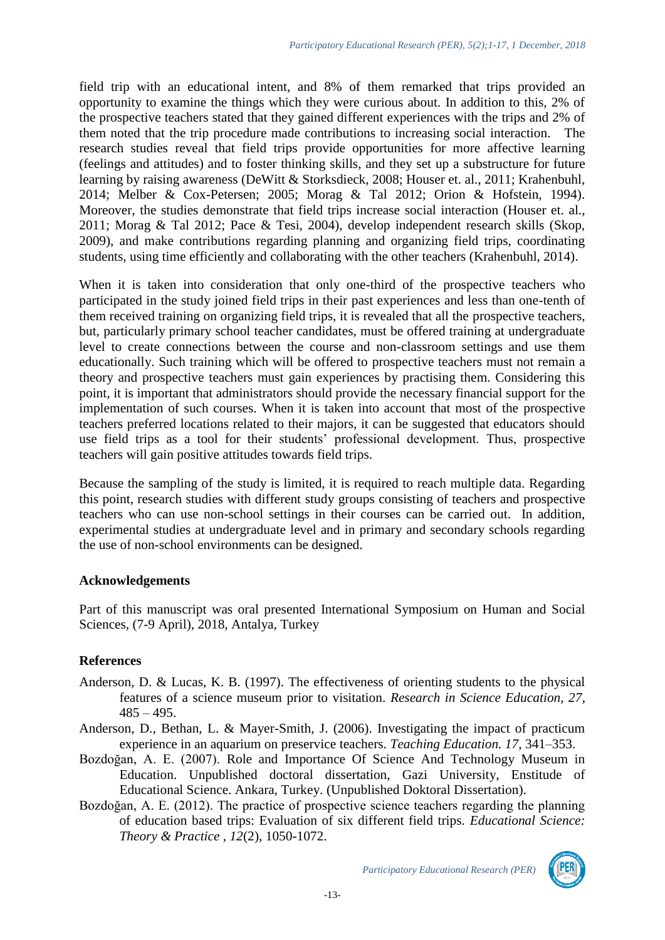field trip with an educational intent, and 8% of them remarked that trips provided an opportunity to examine the things which they were curious about. In addition to this, 2% of the prospective teachers stated that they gained different experiences with the trips and 2% of them noted that the trip procedure made contributions to increasing social interaction. The research studies reveal that field trips provide opportunities for more affective learning (feelings and attitudes) and to foster thinking skills, and they set up a substructure for future learning by raising awareness (DeWitt & Storksdieck, 2008; Houser et. al., 2011; Krahenbuhl, 2014; Melber & Cox-Petersen; 2005; Morag & Tal 2012; Orion & Hofstein, 1994). Moreover, the studies demonstrate that field trips increase social interaction (Houser et. al., 2011; Morag & Tal 2012; Pace & Tesi, 2004), develop independent research skills (Skop, 2009), and make contributions regarding planning and organizing field trips, coordinating students, using time efficiently and collaborating with the other teachers (Krahenbuhl, 2014).

When it is taken into consideration that only one-third of the prospective teachers who participated in the study joined field trips in their past experiences and less than one-tenth of them received training on organizing field trips, it is revealed that all the prospective teachers, but, particularly primary school teacher candidates, must be offered training at undergraduate level to create connections between the course and non-classroom settings and use them educationally. Such training which will be offered to prospective teachers must not remain a theory and prospective teachers must gain experiences by practising them. Considering this point, it is important that administrators should provide the necessary financial support for the implementation of such courses. When it is taken into account that most of the prospective teachers preferred locations related to their majors, it can be suggested that educators should use field trips as a tool for their students' professional development. Thus, prospective teachers will gain positive attitudes towards field trips.

Because the sampling of the study is limited, it is required to reach multiple data. Regarding this point, research studies with different study groups consisting of teachers and prospective teachers who can use non-school settings in their courses can be carried out. In addition, experimental studies at undergraduate level and in primary and secondary schools regarding the use of non-school environments can be designed.

### **Acknowledgements**

Part of this manuscript was oral presented International Symposium on Human and Social Sciences, (7-9 April), 2018, Antalya, Turkey

## **References**

- Anderson, D. & Lucas, K. B. (1997). The effectiveness of orienting students to the physical features of a science museum prior to visitation. *Research in Science Education, 27*,  $485 - 495.$
- Anderson, D., Bethan, L. & Mayer-Smith, J. (2006). Investigating the impact of practicum experience in an aquarium on preservice teachers. *Teaching Education. 17*, 341–353.
- Bozdoğan, A. E. (2007). Role and Importance Of Science And Technology Museum in Education. Unpublished doctoral dissertation, Gazi University, Enstitude of Educational Science. Ankara, Turkey. (Unpublished Doktoral Dissertation).
- Bozdoğan, A. E. (2012). The practice of prospective science teachers regarding the planning of education based trips: Evaluation of six different field trips. *Educational Science: Theory & Practice , 12*(2), 1050-1072.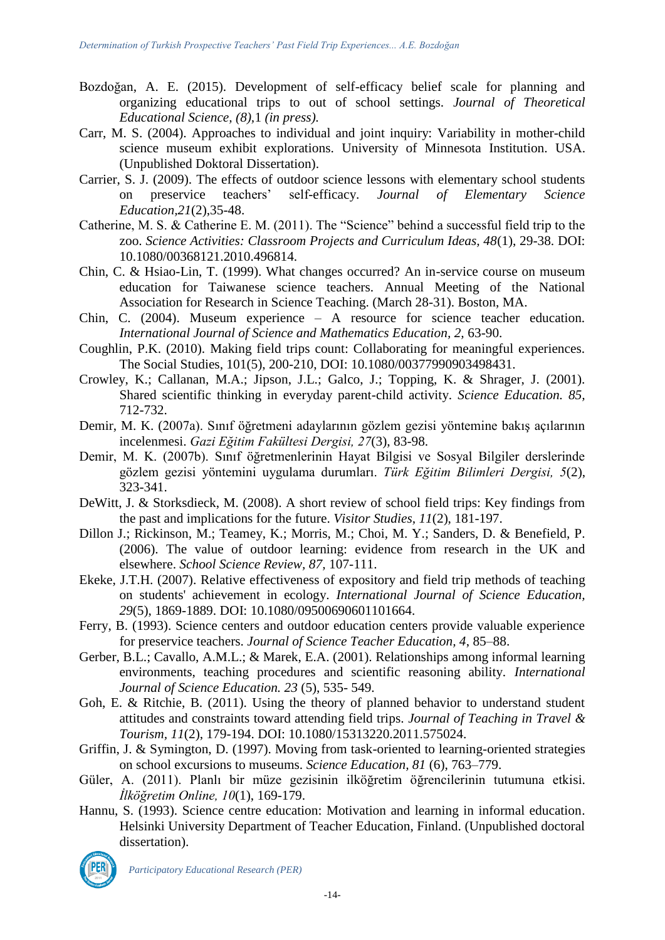- Bozdoğan, A. E. (2015). Development of self-efficacy belief scale for planning and organizing educational trips to out of school settings. *Journal of Theoretical Educational Science, (8),*1 *(in press).*
- Carr, M. S. (2004). Approaches to individual and joint inquiry: Variability in mother-child science museum exhibit explorations. University of Minnesota Institution. USA. (Unpublished Doktoral Dissertation).
- Carrier, S. J. (2009). The effects of outdoor science lessons with elementary school students on preservice teachers' self-efficacy. *Journal of Elementary Science Education,21*(2),35-48.
- Catherine, M. S. & Catherine E. M. (2011). The "Science" behind a successful field trip to the zoo. *Science Activities: Classroom Projects and Curriculum Ideas, 48*(1), 29-38. DOI: 10.1080/00368121.2010.496814.
- Chin, C. & Hsiao-Lin, T. (1999). What changes occurred? An in-service course on museum education for Taiwanese science teachers. Annual Meeting of the National Association for Research in Science Teaching. (March 28-31). Boston, MA.
- Chin, C. (2004). Museum experience A resource for science teacher education*. International Journal of Science and Mathematics Education, 2,* 63-90.
- Coughlin, P.K. (2010). Making field trips count: Collaborating for meaningful experiences. The Social Studies, 101(5), 200-210, DOI: 10.1080/00377990903498431.
- Crowley, K.; Callanan, M.A.; Jipson, J.L.; Galco, J.; Topping, K. & Shrager, J. (2001). Shared scientific thinking in everyday parent-child activity. *Science Education. 85,*  712-732.
- Demir, M. K. (2007a). Sınıf öğretmeni adaylarının gözlem gezisi yöntemine bakış açılarının incelenmesi. *Gazi Eğitim Fakültesi Dergisi, 27*(3), 83-98.
- Demir, M. K. (2007b). Sınıf öğretmenlerinin Hayat Bilgisi ve Sosyal Bilgiler derslerinde gözlem gezisi yöntemini uygulama durumları. *Türk Eğitim Bilimleri Dergisi, 5*(2), 323-341.
- DeWitt, J. & Storksdieck, M. (2008). A short review of school field trips: Key findings from the past and implications for the future. *Visitor Studies, 11*(2), 181-197.
- Dillon J.; Rickinson, M.; Teamey, K.; Morris, M.; Choi, M. Y.; Sanders, D. & Benefield, P. (2006). The value of outdoor learning: evidence from research in the UK and elsewhere. *School Science Review, 87,* 107-111.
- Ekeke, J.T.H. (2007). Relative effectiveness of expository and field trip methods of teaching on students' achievement in ecology. *International Journal of Science Education, 29*(5), 1869-1889. DOI: 10.1080/09500690601101664.
- Ferry, B. (1993). Science centers and outdoor education centers provide valuable experience for preservice teachers. *Journal of Science Teacher Education, 4*, 85–88.
- Gerber, B.L.; Cavallo, A.M.L.; & Marek, E.A. (2001). Relationships among informal learning environments, teaching procedures and scientific reasoning ability*. International Journal of Science Education. 23* (5), 535- 549.
- Goh, E. & Ritchie, B. (2011). Using the theory of planned behavior to understand student attitudes and constraints toward attending field trips. *Journal of Teaching in Travel & Tourism, 11*(2), 179-194. DOI: 10.1080/15313220.2011.575024.
- Griffin, J. & Symington, D. (1997). Moving from task-oriented to learning-oriented strategies on school excursions to museums. *Science Education, 81* (6), 763–779.
- Güler, A. (2011). Planlı bir müze gezisinin ilköğretim öğrencilerinin tutumuna etkisi. *İlköğretim Online, 10*(1), 169-179.
- Hannu, S. (1993). Science centre education: Motivation and learning in informal education. Helsinki University Department of Teacher Education, Finland. (Unpublished doctoral dissertation).

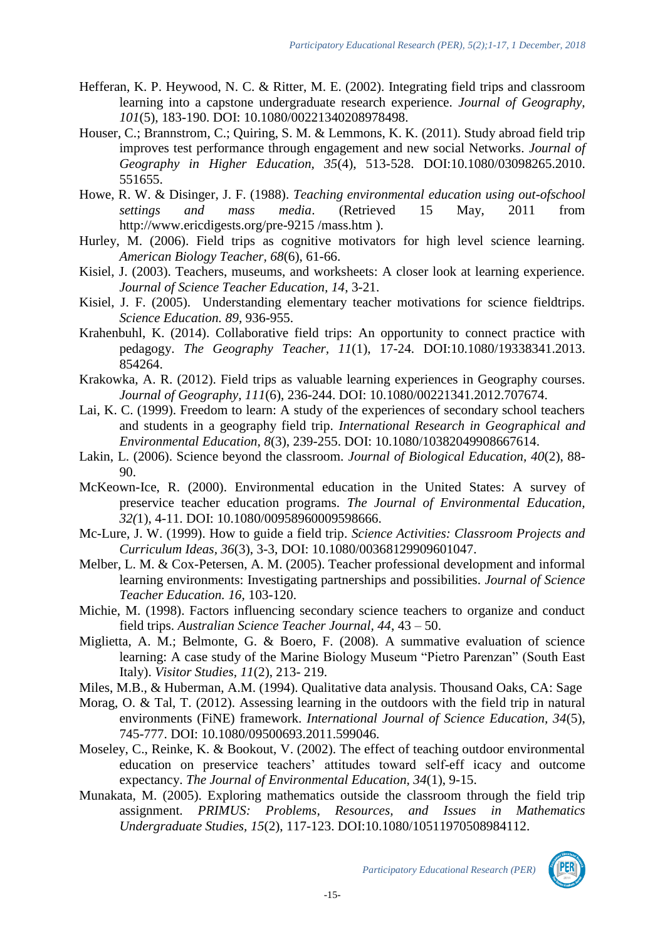- Hefferan, K. P. Heywood, N. C. & Ritter, M. E. (2002). Integrating field trips and classroom learning into a capstone undergraduate research experience. *Journal of Geography, 101*(5), 183-190. DOI: 10.1080/00221340208978498.
- Houser, C.; Brannstrom, C.; Quiring, S. M. & Lemmons, K. K. (2011). Study abroad field trip improves test performance through engagement and new social Networks. *Journal of Geography in Higher Education, 35*(4), 513-528. DOI:10.1080/03098265.2010. 551655.
- Howe, R. W. & Disinger, J. F. (1988). *Teaching environmental education using out-ofschool settings and mass media*. (Retrieved 15 May, 2011 from http://www.ericdigests.org/pre-9215 /mass.htm ).
- Hurley, M. (2006). Field trips as cognitive motivators for high level science learning. *American Biology Teacher, 68*(6), 61-66.
- Kisiel, J. (2003). Teachers, museums, and worksheets: A closer look at learning experience. *Journal of Science Teacher Education, 14*, 3-21.
- Kisiel, J. F. (2005). Understanding elementary teacher motivations for science fieldtrips*. Science Education. 89,* 936-955.
- Krahenbuhl, K. (2014). Collaborative field trips: An opportunity to connect practice with pedagogy. *The Geography Teacher, 11*(1), 17-24. DOI:10.1080/19338341.2013. 854264.
- Krakowka, A. R. (2012). Field trips as valuable learning experiences in Geography courses. *Journal of Geography, 111*(6), 236-244. DOI: 10.1080/00221341.2012.707674.
- Lai, K. C. (1999). Freedom to learn: A study of the experiences of secondary school teachers and students in a geography field trip. *International Research in Geographical and Environmental Education, 8*(3), 239-255. DOI: 10.1080/10382049908667614.
- Lakin, L. (2006). Science beyond the classroom. *Journal of Biological Education, 40*(2), 88- 90.
- McKeown-Ice, R. (2000). Environmental education in the United States: A survey of preservice teacher education programs. *The Journal of Environmental Education, 32(*1), 4-11. DOI: 10.1080/00958960009598666.
- Mc-Lure, J. W. (1999). How to guide a field trip. *Science Activities: Classroom Projects and Curriculum Ideas, 36*(3), 3-3, DOI: 10.1080/00368129909601047.
- Melber, L. M. & Cox-Petersen, A. M. (2005). Teacher professional development and informal learning environments: Investigating partnerships and possibilities*. Journal of Science Teacher Education. 16,* 103-120.
- Michie, M. (1998). Factors influencing secondary science teachers to organize and conduct field trips. *Australian Science Teacher Journal, 44*, 43 – 50.
- Miglietta, A. M.; Belmonte, G. & Boero, F. (2008). A summative evaluation of science learning: A case study of the Marine Biology Museum "Pietro Parenzan" (South East Italy). *Visitor Studies, 11*(2), 213- 219.
- Miles, M.B., & Huberman, A.M. (1994). Qualitative data analysis. Thousand Oaks, CA: Sage
- Morag, O. & Tal, T. (2012). Assessing learning in the outdoors with the field trip in natural environments (FiNE) framework. *International Journal of Science Education, 34*(5), 745-777. DOI: 10.1080/09500693.2011.599046.
- Moseley, C., Reinke, K. & Bookout, V. (2002). The effect of teaching outdoor environmental education on preservice teachers' attitudes toward self-eff icacy and outcome expectancy. *The Journal of Environmental Education, 34*(1), 9-15.
- Munakata, M. (2005). Exploring mathematics outside the classroom through the field trip assignment. *PRIMUS: Problems, Resources, and Issues in Mathematics Undergraduate Studies, 15*(2), 117-123. DOI:10.1080/10511970508984112.

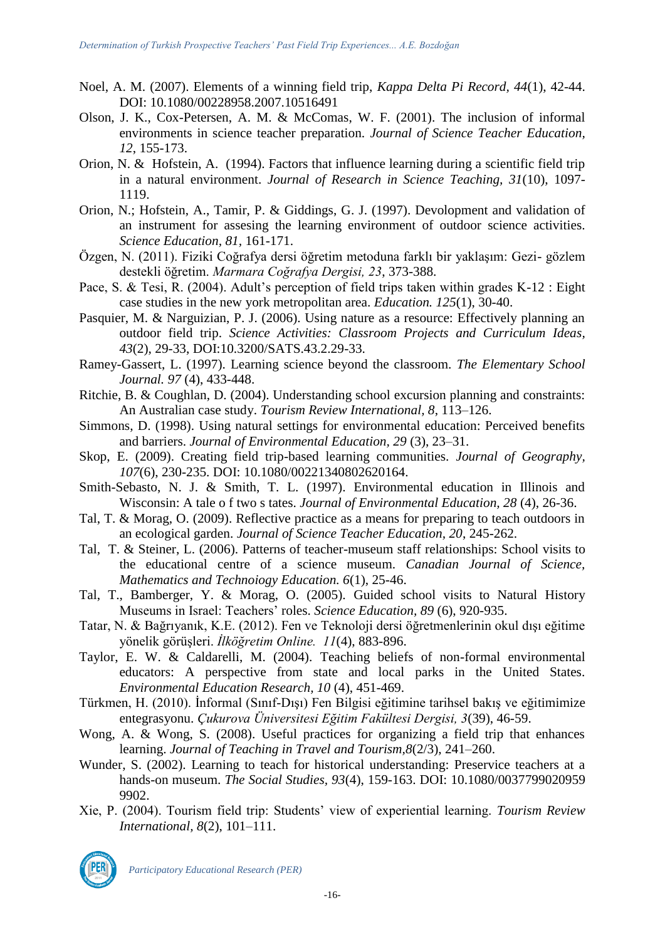- Noel, A. M. (2007). Elements of a winning field trip, *Kappa Delta Pi Record, 44*(1), 42-44. DOI: 10.1080/00228958.2007.10516491
- Olson, J. K., Cox-Petersen, A. M. & McComas, W. F. (2001). The inclusion of informal environments in science teacher preparation. *Journal of Science Teacher Education, 12*, 155-173.
- Orion, N. & Hofstein, A. (1994). Factors that influence learning during a scientific field trip in a natural environment. *Journal of Research in Science Teaching, 31*(10), 1097- 1119.
- Orion, N.; Hofstein, A., Tamir, P. & Giddings, G. J. (1997). Devolopment and validation of an instrument for assesing the learning environment of outdoor science activities. *Science Education, 81,* 161-171.
- Özgen, N. (2011). Fiziki Coğrafya dersi öğretim metoduna farklı bir yaklaşım: Gezi- gözlem destekli öğretim. *Marmara Coğrafya Dergisi, 23*, 373-388.
- Pace, S. & Tesi, R. (2004). Adult's perception of field trips taken within grades K-12 : Eight case studies in the new york metropolitan area. *Education. 125*(1), 30-40.
- Pasquier, M. & Narguizian, P. J. (2006). Using nature as a resource: Effectively planning an outdoor field trip. *Science Activities: Classroom Projects and Curriculum Ideas, 43*(2), 29-33, DOI:10.3200/SATS.43.2.29-33.
- Ramey-Gassert, L. (1997). Learning science beyond the classroom. *The Elementary School Journal. 97* (4), 433-448.
- Ritchie, B. & Coughlan, D. (2004). Understanding school excursion planning and constraints: An Australian case study. *Tourism Review International, 8*, 113–126.
- Simmons, D. (1998). Using natural settings for environmental education: Perceived benefits and barriers. *Journal of Environmental Education, 29* (3), 23–31.
- Skop, E. (2009). Creating field trip-based learning communities. *Journal of Geography, 107*(6), 230-235. DOI: 10.1080/00221340802620164.
- Smith-Sebasto, N. J. & Smith, T. L. (1997). Environmental education in Illinois and Wisconsin: A tale o f two s tates. *Journal of Environmental Education, 28* (4), 26-36.
- Tal, T. & Morag, O. (2009). Reflective practice as a means for preparing to teach outdoors in an ecological garden. *Journal of Science Teacher Education, 20*, 245-262.
- Tal, T. & Steiner, L. (2006). Patterns of teacher-museum staff relationships: School visits to the educational centre of a science museum. *Canadian Journal of Science, Mathematics and Technoiogy Education. 6*(1), 25-46.
- Tal, T., Bamberger, Y. & Morag, O. (2005). Guided school visits to Natural History Museums in Israel: Teachers' roles. *Science Education, 89* (6), 920-935.
- Tatar, N. & Bağrıyanık, K.E. (2012). Fen ve Teknoloji dersi öğretmenlerinin okul dışı eğitime yönelik görüşleri. *İlköğretim Online. 11*(4), 883-896.
- Taylor, E. W. & Caldarelli, M. (2004). Teaching beliefs of non-formal environmental educators: A perspective from state and local parks in the United States. *Environmental Education Research, 10* (4), 451-469.
- Türkmen, H. (2010). İnformal (Sınıf-Dışı) Fen Bilgisi eğitimine tarihsel bakış ve eğitimimize entegrasyonu. *Çukurova Üniversitesi Eğitim Fakültesi Dergisi, 3*(39), 46-59.
- Wong, A. & Wong, S. (2008). Useful practices for organizing a field trip that enhances learning. *Journal of Teaching in Travel and Tourism,8*(2/3), 241–260.
- Wunder, S. (2002). Learning to teach for historical understanding: Preservice teachers at a hands-on museum. *The Social Studies, 93*(4), 159-163. DOI: 10.1080/0037799020959 9902.
- Xie, P. (2004). Tourism field trip: Students' view of experiential learning. *Tourism Review International, 8*(2), 101–111.